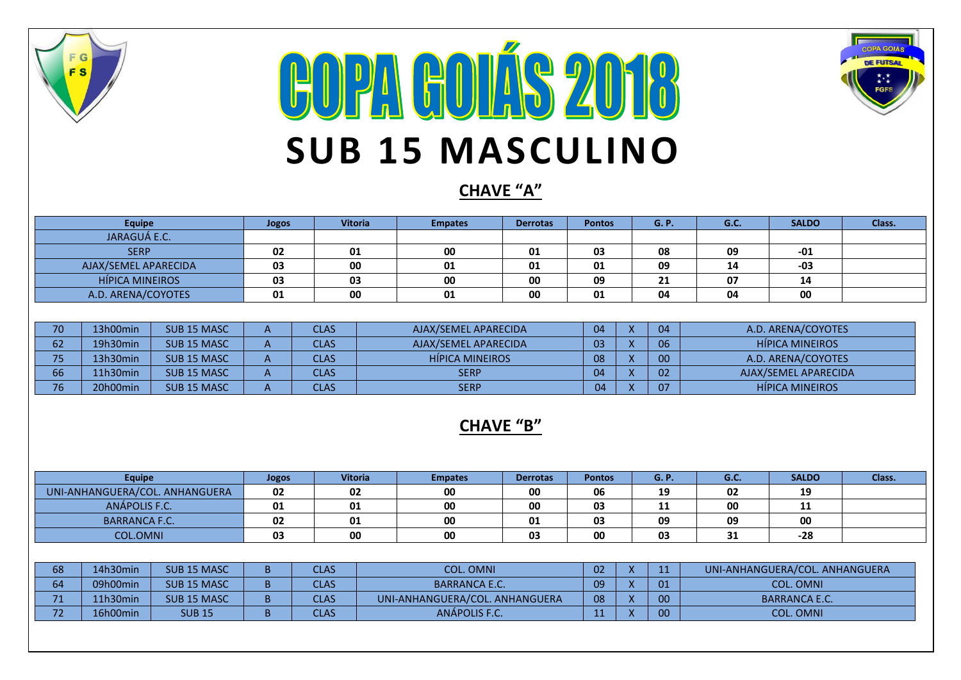

## **COPA GOLÍS 2018 SUB 15 MASCULINO**



## **CHAVE "A"**

| Equipe                 | Jogos | <b>Vitoria</b> | <b>Empates</b> | <b>Derrotas</b> | <b>Pontos</b> | <b>G.P.</b> | G.C. | <b>SALDO</b> | Class. |
|------------------------|-------|----------------|----------------|-----------------|---------------|-------------|------|--------------|--------|
| JARAGUÁ E.C.           |       |                |                |                 |               |             |      |              |        |
| <b>SERP</b>            | 02    | 01             | 00             | 01              | 03            | 08          | 09   | $-01$        |        |
| AJAX/SEMEL APARECIDA   | 03    | 00             | 01             | 01              | 01            | 09          | 14   | -03          |        |
| <b>HÍPICA MINEIROS</b> | 03    | 03             | 00             | 00              | 09            | 21          | 07   | 14           |        |
| A.D. ARENA/COYOTES     | 01    | 00             | 01             | 00              | 01            | 04          | 04   | 00           |        |

| 70        | 13h00min | SUB <sub>15</sub> MASC | <b>CLAS</b> | AJAX/SEMEL APARECIDA   | 04 | 04 | A.D. ARENA/COYOTES     |
|-----------|----------|------------------------|-------------|------------------------|----|----|------------------------|
| ס∠        | 19h30min | SUB <sub>15</sub> MASC | <b>CLAS</b> | AJAX/SEMEL APARECIDA   | 03 | 06 | <b>HIPICA MINEIROS</b> |
| <b>DE</b> | 13h30min | SUB <sub>15</sub> MASC | <b>CLAS</b> | <b>HIPICA MINEIROS</b> | 08 | 00 | A.D. ARENA/COYOTES     |
| 66        | 11h30min | SUB <sub>15</sub> MASC | <b>CLAS</b> | <b>SERP</b>            | 04 | 02 | AJAX/SEMEL APARECIDA   |
| 7C        | 20h00min | SUB <sub>15</sub> MASC | <b>CLAS</b> | <b>SERP</b>            |    | 07 | <b>HIPICA MINEIROS</b> |

## **CHAVE "B"**

| <b>Equipe</b>                  | <b>Jogos</b> | <b>Vitoria</b> | <b>Empates</b> | <b>Derrotas</b> | <b>Pontos</b> | G. F | G.C. | <b>SALDO</b>       | Class. |
|--------------------------------|--------------|----------------|----------------|-----------------|---------------|------|------|--------------------|--------|
| UNI-ANHANGUERA/COL. ANHANGUERA | 02           | 02             | 00             | 00              | 06            | 19   | 02   | 19                 |        |
| ANÁPOLIS F.C.                  | 01           | 01             | 00             | 00              | 03            | 11   | 00   | -1.1<br><b>. .</b> |        |
| <b>BARRANCA F.C.</b>           | 02           | 01             | 00             | 01              | 03            | 09   | 09   | 00                 |        |
| <b>COL.OMNI</b>                | 03           | 00             | 00             | 03              | 00            | 03   | 31   | $-28$              |        |

| 68            | 14h30min | SUB <sub>15</sub> MASC | <b>CLAS</b> | <b>COL. OMNI</b>               | 02 |  | UNI-ANHANGUERA/COL. ANHANGUERA |
|---------------|----------|------------------------|-------------|--------------------------------|----|--|--------------------------------|
| $\sim$ $\sim$ | 09h00min | SUB <sub>15</sub> MASC | <b>CLAS</b> | <b>BARRANCA E.C.</b>           | 09 |  | COL. OMNI                      |
| 74            | L1h30min | SUB <sub>15</sub> MASC | CLAS        | UNI-ANHANGUERA/COL. ANHANGUERA | 08 |  | BARRANCA E.C.                  |
| $-1$          | 16h00min | <b>SUB 15</b>          | CLAS        | ANÁPOLIS F.C.                  |    |  | <b>COL. OMNI</b>               |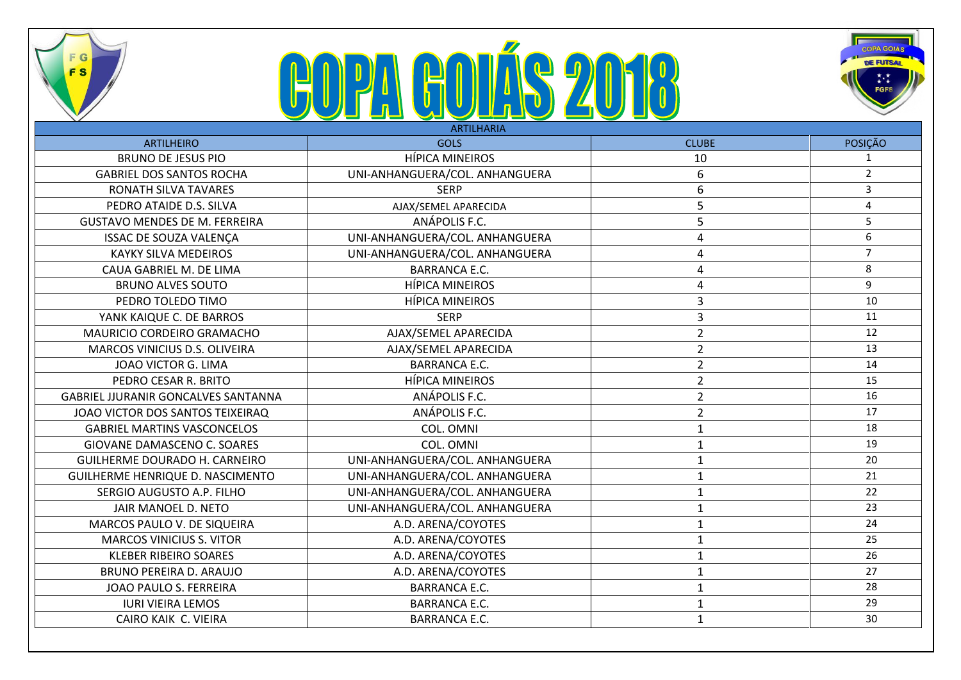

FG

**FS** 



|                                            | <u>Se as Sasasas — S</u><br><b>ARTILHARIA</b> |                |                |
|--------------------------------------------|-----------------------------------------------|----------------|----------------|
| <b>ARTILHEIRO</b>                          | <b>GOLS</b>                                   | <b>CLUBE</b>   | <b>POSICÃO</b> |
| <b>BRUNO DE JESUS PIO</b>                  | <b>HÍPICA MINEIROS</b>                        | 10             | 1              |
| <b>GABRIEL DOS SANTOS ROCHA</b>            | UNI-ANHANGUERA/COL. ANHANGUERA                | 6              | $\overline{2}$ |
| RONATH SILVA TAVARES                       | <b>SERP</b>                                   | 6              | $\overline{3}$ |
| PEDRO ATAIDE D.S. SILVA                    | AJAX/SEMEL APARECIDA                          | 5              | $\overline{4}$ |
| <b>GUSTAVO MENDES DE M. FERREIRA</b>       | ANÁPOLIS F.C.                                 | 5              | 5              |
| <b>ISSAC DE SOUZA VALENÇA</b>              | UNI-ANHANGUERA/COL. ANHANGUERA                | 4              | 6              |
| <b>KAYKY SILVA MEDEIROS</b>                | UNI-ANHANGUERA/COL. ANHANGUERA                | 4              | $\overline{7}$ |
| CAUA GABRIEL M. DE LIMA                    | <b>BARRANCA E.C.</b>                          | 4              | 8              |
| <b>BRUNO ALVES SOUTO</b>                   | <b>HÍPICA MINEIROS</b>                        | 4              | 9              |
| PEDRO TOLEDO TIMO                          | <b>HÍPICA MINEIROS</b>                        | 3              | 10             |
| YANK KAIQUE C. DE BARROS                   | <b>SERP</b>                                   | 3              | 11             |
| MAURICIO CORDEIRO GRAMACHO                 | AJAX/SEMEL APARECIDA                          | $\overline{2}$ | 12             |
| MARCOS VINICIUS D.S. OLIVEIRA              | AJAX/SEMEL APARECIDA                          | $\overline{2}$ | 13             |
| JOAO VICTOR G. LIMA                        | <b>BARRANCA E.C.</b>                          | $\overline{2}$ | 14             |
| PEDRO CESAR R. BRITO                       | <b>HÍPICA MINEIROS</b>                        | $\overline{2}$ | 15             |
| <b>GABRIEL JJURANIR GONCALVES SANTANNA</b> | ANÁPOLIS F.C.                                 | $\overline{2}$ | 16             |
| JOAO VICTOR DOS SANTOS TEIXEIRAQ           | ANÁPOLIS F.C.                                 | $\overline{2}$ | 17             |
| <b>GABRIEL MARTINS VASCONCELOS</b>         | COL. OMNI                                     | $\mathbf 1$    | 18             |
| GIOVANE DAMASCENO C. SOARES                | COL. OMNI                                     | $\mathbf 1$    | 19             |
| <b>GUILHERME DOURADO H. CARNEIRO</b>       | UNI-ANHANGUERA/COL. ANHANGUERA                | $\mathbf{1}$   | 20             |
| GUILHERME HENRIQUE D. NASCIMENTO           | UNI-ANHANGUERA/COL. ANHANGUERA                | $\mathbf{1}$   | 21             |
| SERGIO AUGUSTO A.P. FILHO                  | UNI-ANHANGUERA/COL. ANHANGUERA                | $\mathbf{1}$   | 22             |
| JAIR MANOEL D. NETO                        | UNI-ANHANGUERA/COL. ANHANGUERA                | $\mathbf 1$    | 23             |
| MARCOS PAULO V. DE SIQUEIRA                | A.D. ARENA/COYOTES                            | $\mathbf{1}$   | 24             |
| <b>MARCOS VINICIUS S. VITOR</b>            | A.D. ARENA/COYOTES                            | $\mathbf 1$    | 25             |
| <b>KLEBER RIBEIRO SOARES</b>               | A.D. ARENA/COYOTES                            | $\mathbf{1}$   | 26             |
| <b>BRUNO PEREIRA D. ARAUJO</b>             | A.D. ARENA/COYOTES                            | $\mathbf{1}$   | 27             |
| JOAO PAULO S. FERREIRA                     | <b>BARRANCA E.C.</b>                          | $\mathbf{1}$   | 28             |
| <b>IURI VIEIRA LEMOS</b>                   | <b>BARRANCA E.C.</b>                          | $\mathbf{1}$   | 29             |
| CAIRO KAIK C. VIEIRA                       | <b>BARRANCA E.C.</b>                          | $\mathbf 1$    | 30             |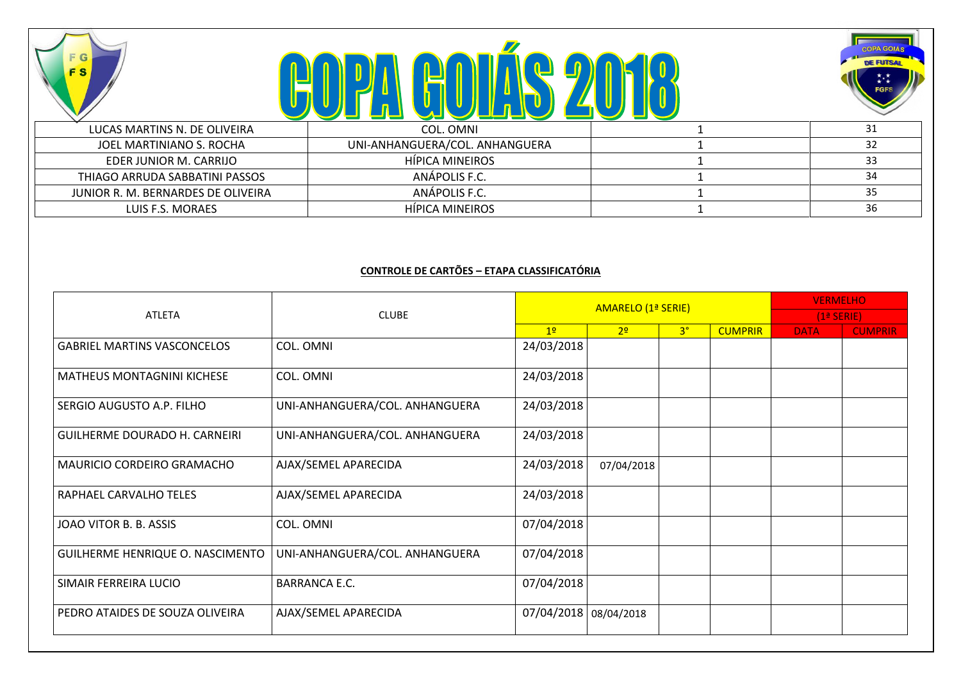**COPA COLÍS 2018** 

F G

**FS** 



| LUCAS MARTINS N. DE OLIVEIRA       | COL. OMNI                      |    |
|------------------------------------|--------------------------------|----|
| JOEL MARTINIANO S. ROCHA           | UNI-ANHANGUERA/COL. ANHANGUERA | 32 |
| EDER JUNIOR M. CARRIJO             | HÍPICA MINEIROS                | 33 |
| THIAGO ARRUDA SABBATINI PASSOS     | ANÁPOLIS F.C.                  |    |
| JUNIOR R. M. BERNARDES DE OLIVEIRA | ANÁPOLIS F.C.                  |    |
| LUIS F.S. MORAES                   | HIPICA MINEIROS                | 36 |

## **CONTROLE DE CARTÕES – ETAPA CLASSIFICATÓRIA**

|                                      |                                |                       | AMARELO (1ª SERIE) |                | <b>VERMELHO</b> |             |                |
|--------------------------------------|--------------------------------|-----------------------|--------------------|----------------|-----------------|-------------|----------------|
| <b>ATLETA</b>                        | <b>CLUBE</b>                   |                       |                    |                | $(1a$ SERIE)    |             |                |
|                                      |                                | 12                    | 2 <sup>o</sup>     | 3 <sup>°</sup> | <b>CUMPRIR</b>  | <b>DATA</b> | <b>CUMPRIR</b> |
| <b>GABRIEL MARTINS VASCONCELOS</b>   | COL. OMNI                      | 24/03/2018            |                    |                |                 |             |                |
| <b>MATHEUS MONTAGNINI KICHESE</b>    | COL. OMNI                      | 24/03/2018            |                    |                |                 |             |                |
| SERGIO AUGUSTO A.P. FILHO            | UNI-ANHANGUERA/COL. ANHANGUERA | 24/03/2018            |                    |                |                 |             |                |
| <b>GUILHERME DOURADO H. CARNEIRI</b> | UNI-ANHANGUERA/COL. ANHANGUERA | 24/03/2018            |                    |                |                 |             |                |
| MAURICIO CORDEIRO GRAMACHO           | AJAX/SEMEL APARECIDA           | 24/03/2018            | 07/04/2018         |                |                 |             |                |
| RAPHAEL CARVALHO TELES               | AJAX/SEMEL APARECIDA           | 24/03/2018            |                    |                |                 |             |                |
| JOAO VITOR B. B. ASSIS               | COL. OMNI                      | 07/04/2018            |                    |                |                 |             |                |
| GUILHERME HENRIQUE O. NASCIMENTO     | UNI-ANHANGUERA/COL. ANHANGUERA | 07/04/2018            |                    |                |                 |             |                |
| SIMAIR FERREIRA LUCIO                | <b>BARRANCA E.C.</b>           | 07/04/2018            |                    |                |                 |             |                |
| PEDRO ATAIDES DE SOUZA OLIVEIRA      | AJAX/SEMEL APARECIDA           | 07/04/2018 08/04/2018 |                    |                |                 |             |                |
|                                      |                                |                       |                    |                |                 |             |                |